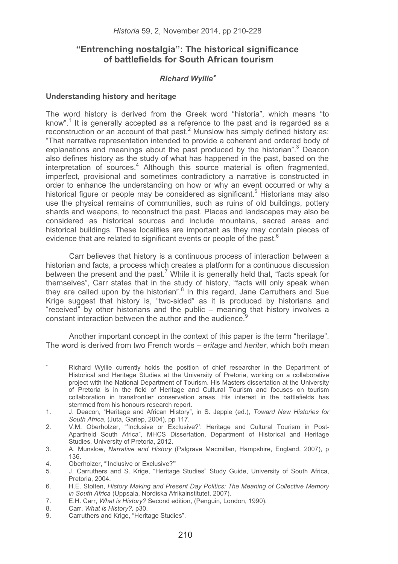# **"Entrenching nostalgia": The historical significance of battlefields for South African tourism**

## *Richard Wyllie*-

## **Understanding history and heritage**

The word history is derived from the Greek word "historia", which means "to know".<sup>1</sup> It is generally accepted as a reference to the past and is regarded as a reconstruction or an account of that past. $2$  Munslow has simply defined history as: "That narrative representation intended to provide a coherent and ordered body of explanations and meanings about the past produced by the historian".<sup>3</sup> Deacon also defines history as the study of what has happened in the past, based on the interpretation of sources.<sup>4</sup> Although this source material is often fragmented, imperfect, provisional and sometimes contradictory a narrative is constructed in order to enhance the understanding on how or why an event occurred or why a historical figure or people may be considered as significant.<sup>5</sup> Historians may also use the physical remains of communities, such as ruins of old buildings, pottery shards and weapons, to reconstruct the past. Places and landscapes may also be considered as historical sources and include mountains, sacred areas and historical buildings. These localities are important as they may contain pieces of evidence that are related to significant events or people of the past.<sup>6</sup>

Carr believes that history is a continuous process of interaction between a historian and facts, a process which creates a platform for a continuous discussion between the present and the past.<sup>7</sup> While it is generally held that, "facts speak for themselves", Carr states that in the study of history, "facts will only speak when they are called upon by the historian".<sup>8</sup> In this regard, Jane Carruthers and Sue Krige suggest that history is, "two-sided" as it is produced by historians and "received" by other historians and the public – meaning that history involves a constant interaction between the author and the audience.

Another important concept in the context of this paper is the term "heritage". The word is derived from two French words – *eritage* and *heriter*, which both mean

<sup>-</sup> Richard Wyllie currently holds the position of chief researcher in the Department of Historical and Heritage Studies at the University of Pretoria, working on a collaborative project with the National Department of Tourism. His Masters dissertation at the University of Pretoria is in the field of Heritage and Cultural Tourism and focuses on tourism collaboration in transfrontier conservation areas. His interest in the battlefields has stemmed from his honours research report.

<sup>1.</sup> J. Deacon, "Heritage and African History", in S. Jeppie (ed.), *Toward New Histories for South Africa*, (Juta, Gariep, 2004), pp 117.

<sup>2.</sup> V.M. Oberholzer, "'Inclusive or Exclusive?': Heritage and Cultural Tourism in Post-Apartheid South Africa", MHCS Dissertation, Department of Historical and Heritage Studies, University of Pretoria, 2012.

<sup>3.</sup> A. Munslow, *Narrative and History* (Palgrave Macmillan, Hampshire, England, 2007), p 136.

<sup>4.</sup> Oberholzer, "'Inclusive or Exclusive?'"

<sup>5.</sup> J. Carruthers and S. Krige, "Heritage Studies" Study Guide, University of South Africa, Pretoria, 2004.

<sup>6.</sup> H.E. Stolten, *History Making and Present Day Politics: The Meaning of Collective Memory in South Africa* (Uppsala, Nordiska Afrikainstitutet, 2007).

<sup>7.</sup> E.H. Carr, *What is History?* Second edition, (Penguin, London, 1990).<br>8 Carr. What is History? p30.

<sup>8.</sup> Carr, *What is History?,* p30.

Carruthers and Krige, "Heritage Studies".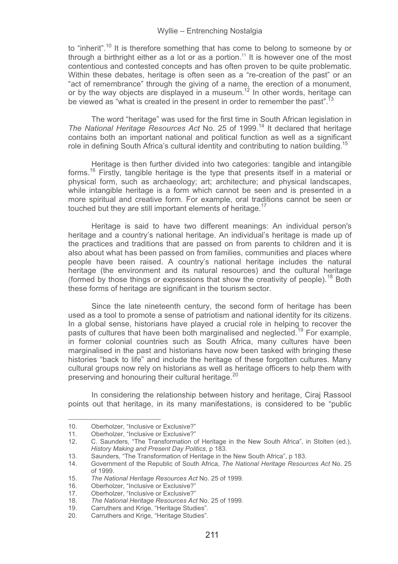to "inherit".<sup>10</sup> It is therefore something that has come to belong to someone by or through a birthright either as a lot or as a portion.<sup>11</sup> It is however one of the most contentious and contested concepts and has often proven to be quite problematic. Within these debates, heritage is often seen as a "re-creation of the past" or an "act of remembrance" through the giving of a name, the erection of a monument, or by the way objects are displayed in a museum.<sup>12</sup> In other words, heritage can be viewed as "what is created in the present in order to remember the past".<sup>13</sup>

The word "heritage" was used for the first time in South African legislation in *The National Heritage Resources Act* No. 25 of 1999.14 It declared that heritage contains both an important national and political function as well as a significant role in defining South Africa's cultural identity and contributing to nation building.<sup>15</sup>

Heritage is then further divided into two categories: tangible and intangible forms.16 Firstly, tangible heritage is the type that presents itself in a material or physical form, such as archaeology; art; architecture; and physical landscapes, while intangible heritage is a form which cannot be seen and is presented in a more spiritual and creative form. For example, oral traditions cannot be seen or touched but they are still important elements of heritage.<sup>17</sup>

Heritage is said to have two different meanings: An individual person's heritage and a country's national heritage. An individual's heritage is made up of the practices and traditions that are passed on from parents to children and it is also about what has been passed on from families, communities and places where people have been raised. A country's national heritage includes the natural heritage (the environment and its natural resources) and the cultural heritage (formed by those things or expressions that show the creativity of people).18 Both these forms of heritage are significant in the tourism sector.

Since the late nineteenth century, the second form of heritage has been used as a tool to promote a sense of patriotism and national identity for its citizens. In a global sense, historians have played a crucial role in helping to recover the pasts of cultures that have been both marginalised and neglected.<sup>19</sup> For example, in former colonial countries such as South Africa, many cultures have been marginalised in the past and historians have now been tasked with bringing these histories "back to life" and include the heritage of these forgotten cultures. Many cultural groups now rely on historians as well as heritage officers to help them with preserving and honouring their cultural heritage.<sup>20</sup>

In considering the relationship between history and heritage, Ciraj Rassool points out that heritage, in its many manifestations, is considered to be "public

--------------

------------------------------------

<sup>-</sup>--------10. Oberholzer, "Inclusive or Exclusive?"<br>11. Oberholzer. "Inclusive or Exclusive?"

<sup>11.</sup> Oberholzer, "Inclusive or Exclusive?"<br>12. C. Saunders, "The Transformation c

<sup>12.</sup> C. Saunders, "The Transformation of Heritage in the New South Africa", in Stolten (ed.), *History Making and Present Day Politics*, p 183.

<sup>13.</sup> Saunders, "The Transformation of Heritage in the New South Africa", p 183.

<sup>14.</sup> Government of the Republic of South Africa, *The National Heritage Resources Act* No. 25 of 1999.

<sup>15.</sup> *The National Heritage Resources Act* No. 25 of 1999.

Oberholzer, "Inclusive or Exclusive?"

<sup>17.</sup> Oberholzer, "Inclusive or Exclusive?"<br>18. The National Heritage Resources Ac

<sup>18.</sup> *The National Heritage Resources Act* No. 25 of 1999.

<sup>19.</sup> Carruthers and Krige, "Heritage Studies". 20. Carruthers and Krige, "Heritage Studies".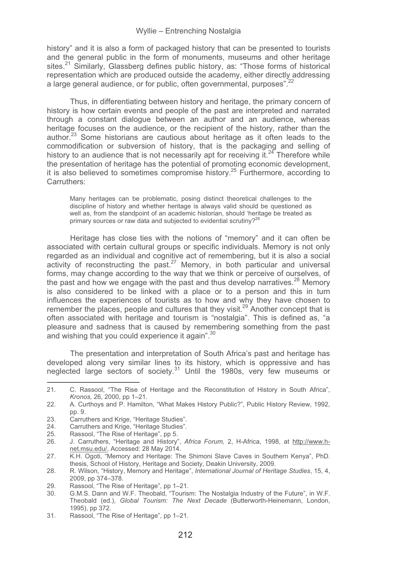history" and it is also a form of packaged history that can be presented to tourists and the general public in the form of monuments, museums and other heritage sites.<sup>21</sup> Similarly, Glassberg defines public history, as: "Those forms of historical representation which are produced outside the academy, either directly addressing a large general audience, or for public, often governmental, purposes".<sup>22</sup>

Thus, in differentiating between history and heritage, the primary concern of history is how certain events and people of the past are interpreted and narrated through a constant dialogue between an author and an audience, whereas heritage focuses on the audience, or the recipient of the history, rather than the author.<sup>23</sup> Some historians are cautious about heritage as it often leads to the commodification or subversion of history, that is the packaging and selling of history to an audience that is not necessarily apt for receiving it. $24$  Therefore while the presentation of heritage has the potential of promoting economic development, it is also believed to sometimes compromise history.<sup>25</sup> Furthermore, according to Carruthers:

Many heritages can be problematic, posing distinct theoretical challenges to the discipline of history and whether heritage is always valid should be questioned as well as, from the standpoint of an academic historian, should 'heritage be treated as primary sources or raw data and subjected to evidential scrutiny?<sup>26</sup>

Heritage has close ties with the notions of "memory" and it can often be associated with certain cultural groups or specific individuals. Memory is not only regarded as an individual and cognitive act of remembering, but it is also a social activity of reconstructing the past.<sup>27</sup> Memory, in both particular and universal forms, may change according to the way that we think or perceive of ourselves, of the past and how we engage with the past and thus develop narratives.<sup>28</sup> Memory is also considered to be linked with a place or to a person and this in turn influences the experiences of tourists as to how and why they have chosen to remember the places, people and cultures that they visit.<sup>29</sup> Another concept that is often associated with heritage and tourism is "nostalgia". This is defined as, "a pleasure and sadness that is caused by remembering something from the past and wishing that you could experience it again".<sup>30</sup>

The presentation and interpretation of South Africa's past and heritage has developed along very similar lines to its history, which is oppressive and has neglected large sectors of society.<sup>31</sup> Until the 1980s, very few museums or

21. C. Rassool, "The Rise of Heritage and the Reconstitution of History in South Africa", *Kronos,* 26, 2000, pp 1–21.

<sup>22.</sup> A. Curthoys and P. Hamilton, "What Makes History Public?", Public History Review, 1992, pp. 9.

<sup>23.</sup> Carruthers and Krige, "Heritage Studies".<br>24. Carruthers and Krige. "Heritage Studies".

<sup>24.</sup> Carruthers and Krige, "Heritage Studies".<br>25. Rassool. "The Rise of Heritage", pp. 5.

<sup>25.</sup> Rassool, "The Rise of Heritage", pp 5.<br>26. J. Carruthers, "Heritage and History"

<sup>26.</sup> J. Carruthers, "Heritage and History", *Africa Forum,* 2, H-Africa, 1998, at http://www.hnet.msu.edu/, Accessed: 28 May 2014.

<sup>27.</sup> K.H. Ogoti, "Memory and Heritage: The Shimoni Slave Caves in Southern Kenya", PhD. thesis, School of History, Heritage and Society, Deakin University, 2009.

<sup>28.</sup> R. Wilson, "History, Memory and Heritage", *International Journal of Heritage Studies*, 15, 4, 2009, pp 374–378.

<sup>29.</sup> Rassool, "The Rise of Heritage", pp 1–21.<br>30. G.M.S. Dann and W.F. Theobald, "Tourisi

<sup>30.</sup> G.M.S. Dann and W.F. Theobald, "Tourism: The Nostalgia Industry of the Future", in W.F. Theobald (ed.), *Global Tourism: The Next Decade* (Butterworth-Heinemann, London, 1995), pp 372.

<sup>31.</sup> Rassool, "The Rise of Heritage", pp 1–21.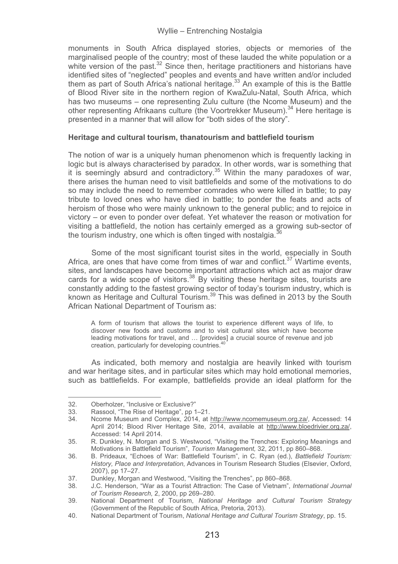monuments in South Africa displayed stories, objects or memories of the marginalised people of the country; most of these lauded the white population or a white version of the past. $32$  Since then, heritage practitioners and historians have identified sites of "neglected" peoples and events and have written and/or included them as part of South Africa's national heritage. $33$  An example of this is the Battle of Blood River site in the northern region of KwaZulu-Natal, South Africa, which has two museums – one representing Zulu culture (the Ncome Museum) and the other representing Afrikaans culture (the Voortrekker Museum).<sup>34</sup> Here heritage is presented in a manner that will allow for "both sides of the story".

### **Heritage and cultural tourism, thanatourism and battlefield tourism**

The notion of war is a uniquely human phenomenon which is frequently lacking in logic but is always characterised by paradox. In other words, war is something that it is seemingly absurd and contradictory.<sup>35</sup> Within the many paradoxes of war, there arises the human need to visit battlefields and some of the motivations to do so may include the need to remember comrades who were killed in battle; to pay tribute to loved ones who have died in battle; to ponder the feats and acts of heroism of those who were mainly unknown to the general public; and to rejoice in victory – or even to ponder over defeat. Yet whatever the reason or motivation for visiting a battlefield, the notion has certainly emerged as a growing sub-sector of the tourism industry, one which is often tinged with nostalgia. $36$ 

Some of the most significant tourist sites in the world, especially in South Africa, are ones that have come from times of war and conflict. $37$  Wartime events, sites, and landscapes have become important attractions which act as major draw cards for a wide scope of visitors. $38$  By visiting these heritage sites, tourists are constantly adding to the fastest growing sector of today's tourism industry, which is known as Heritage and Cultural Tourism.<sup>39</sup> This was defined in 2013 by the South African National Department of Tourism as:

A form of tourism that allows the tourist to experience different ways of life, to discover new foods and customs and to visit cultural sites which have become leading motivations for travel, and … [provides] a crucial source of revenue and job creation, particularly for developing countries.<sup>40</sup>

As indicated, both memory and nostalgia are heavily linked with tourism and war heritage sites, and in particular sites which may hold emotional memories, such as battlefields. For example, battlefields provide an ideal platform for the

------------------------------------ -----------

<sup>-</sup>--------32. Oberholzer, "Inclusive or Exclusive?"<br>33. Bassool "The Rise of Heritage" pp. 1

<sup>-</sup>--33. Rassool, "The Rise of Heritage", pp 1–21.<br>34. Noome Museum and Complex. 2014. at I

<sup>34.</sup> Ncome Museum and Complex, 2014, at http://www.ncomemuseum.org.za/, Accessed: 14 April 2014; Blood River Heritage Site, 2014, available at http://www.bloedrivier.org.za/, Accessed: 14 April 2014.

<sup>35.</sup> R. Dunkley, N. Morgan and S. Westwood, "Visiting the Trenches: Exploring Meanings and Motivations in Battlefield Tourism", *Tourism Management,* 32, 2011, pp 860–868.

<sup>36.</sup> B. Prideaux, "Echoes of War: Battlefield Tourism", in C. Ryan (ed.), *Battlefield Tourism: History, Place and Interpretation*, Advances in Tourism Research Studies (Elsevier, Oxford, 2007), pp 17–27.

<sup>37.</sup> Dunkley, Morgan and Westwood, "Visiting the Trenches", pp 860–868.<br>38. L.C. Henderson, "War as a Tourist Attraction: The Case of Vietnam"

<sup>38.</sup> J.C. Henderson, "War as a Tourist Attraction: The Case of Vietnam", *International Journal of Tourism Research,* 2, 2000, pp 269–280.

<sup>39.</sup> National Department of Tourism, *National Heritage and Cultural Tourism Strategy* (Government of the Republic of South Africa, Pretoria, 2013).

<sup>40.</sup> National Department of Tourism, *National Heritage and Cultural Tourism Strategy*, pp. 15.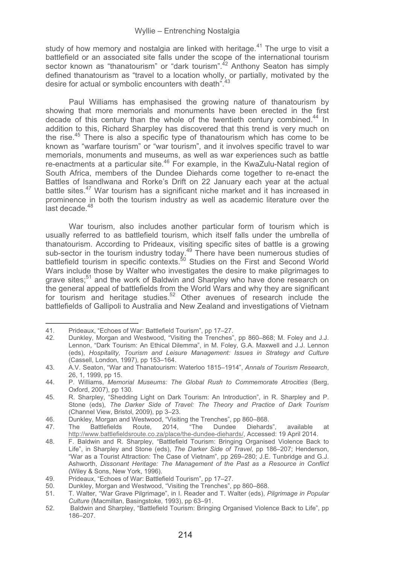study of how memory and nostalgia are linked with heritage.<sup>41</sup> The urge to visit a battlefield or an associated site falls under the scope of the international tourism sector known as "thanatourism" or "dark tourism".42 Anthony Seaton has simply defined thanatourism as "travel to a location wholly, or partially, motivated by the desire for actual or symbolic encounters with death".

Paul Williams has emphasised the growing nature of thanatourism by showing that more memorials and monuments have been erected in the first decade of this century than the whole of the twentieth century combined.<sup>44</sup> In addition to this, Richard Sharpley has discovered that this trend is very much on the rise.<sup>45</sup> There is also a specific type of thanatourism which has come to be known as "warfare tourism" or "war tourism", and it involves specific travel to war memorials, monuments and museums, as well as war experiences such as battle re-enactments at a particular site.<sup>46</sup> For example, in the KwaZulu-Natal region of South Africa, members of the Dundee Diehards come together to re-enact the Battles of Isandlwana and Rorke's Drift on 22 January each year at the actual battle sites.<sup>47</sup> War tourism has a significant niche market and it has increased in prominence in both the tourism industry as well as academic literature over the last decade.<sup>48</sup>

War tourism, also includes another particular form of tourism which is usually referred to as battlefield tourism, which itself falls under the umbrella of thanatourism. According to Prideaux, visiting specific sites of battle is a growing sub-sector in the tourism industry today.<sup>49</sup> There have been numerous studies of battlefield tourism in specific contexts.<sup>50</sup> Studies on the First and Second World Wars include those by Walter who investigates the desire to make pilgrimages to grave sites;51 and the work of Baldwin and Sharpley who have done research on the general appeal of battlefields from the World Wars and why they are significant for tourism and heritage studies.52 Other avenues of research include the battlefields of Gallipoli to Australia and New Zealand and investigations of Vietnam

<sup>-</sup>---41. Prideaux, "Echoes of War: Battlefield Tourism", pp 17–27.

<sup>42.</sup> Dunkley, Morgan and Westwood, "Visiting the Trenches", pp 860–868; M. Foley and J.J. Lennon, "Dark Tourism: An Ethical Dilemma", in M. Foley, G.A. Maxwell and J.J. Lennon (eds), *Hospitality, Tourism and Leisure Management: Issues in Strategy and Culture* (Cassell, London, 1997), pp 153–164.

<sup>43.</sup> A.V. Seaton, "War and Thanatourism: Waterloo 1815–1914", *Annals of Tourism Research*, 26, 1, 1999, pp 15.

<sup>44.</sup> P. Williams, *Memorial Museums: The Global Rush to Commemorate Atrocities* (Berg, Oxford, 2007), pp 130.

<sup>45.</sup> R. Sharpley, "Shedding Light on Dark Tourism: An Introduction", in R. Sharpley and P. Stone (eds), *The Darker Side of Travel: The Theory and Practice of Dark Tourism* (Channel View, Bristol, 2009), pp 3–23.

<sup>46.</sup> Dunkley, Morgan and Westwood, "Visiting the Trenches", pp 860–868.

<sup>47.</sup> The Battlefields Route, 2014, "The Dundee Diehards", available http://www.battlefieldsroute.co.za/place/the-dundee-diehards/, Accessed: 19 April 2014.

<sup>48.</sup> F. Baldwin and R. Sharpley, "Battlefield Tourism: Bringing Organised Violence Back to Life", in Sharpley and Stone (eds), *The Darker Side of Travel*, pp 186–207; Henderson, "War as a Tourist Attraction: The Case of Vietnam", pp 269–280; J.E. Tunbridge and G.J. Ashworth, *Dissonant Heritage: The Management of the Past as a Resource in Conflict* (Wiley & Sons, New York, 1996).

<sup>49.</sup> Prideaux, "Echoes of War: Battlefield Tourism", pp 17–27.

<sup>50.</sup> Dunkley, Morgan and Westwood, "Visiting the Trenches", pp 860–868.<br>51. T. Walter. "War Grave Pilgrimage", in I. Reader and T. Walter (eds). *I* 

<sup>51.</sup> T. Walter, "War Grave Pilgrimage", in I. Reader and T. Walter (eds), *Pilgrimage in Popular Culture* (Macmillan, Basingstoke, 1993), pp 63–91.

<sup>52.</sup> Baldwin and Sharpley, "Battlefield Tourism: Bringing Organised Violence Back to Life", pp 186–207.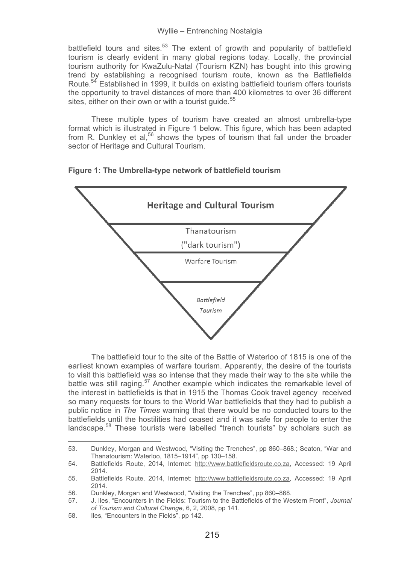battlefield tours and sites. $53$  The extent of growth and popularity of battlefield tourism is clearly evident in many global regions today. Locally, the provincial tourism authority for KwaZulu-Natal (Tourism KZN) has bought into this growing trend by establishing a recognised tourism route, known as the Battlefields Route.<sup>54</sup> Established in 1999, it builds on existing battlefield tourism offers tourists the opportunity to travel distances of more than 400 kilometres to over 36 different sites, either on their own or with a tourist quide.<sup>55</sup>

These multiple types of tourism have created an almost umbrella-type format which is illustrated in Figure 1 below. This figure, which has been adapted from R. Dunkley et al.<sup>56</sup> shows the types of tourism that fall under the broader sector of Heritage and Cultural Tourism.

## **Figure 1: The Umbrella-type network of battlefield tourism**



The battlefield tour to the site of the Battle of Waterloo of 1815 is one of the earliest known examples of warfare tourism. Apparently, the desire of the tourists to visit this battlefield was so intense that they made their way to the site while the battle was still raging.<sup>57</sup> Another example which indicates the remarkable level of the interest in battlefields is that in 1915 the Thomas Cook travel agency received so many requests for tours to the World War battlefields that they had to publish a public notice in *The Times* warning that there would be no conducted tours to the battlefields until the hostilities had ceased and it was safe for people to enter the landscape.<sup>58</sup> These tourists were labelled "trench tourists" by scholars such as

<sup>53.</sup> Dunkley, Morgan and Westwood, "Visiting the Trenches", pp 860–868.; Seaton, "War and Thanatourism: Waterloo, 1815–1914", pp 130–158.

<sup>54.</sup> Battlefields Route, 2014, Internet: http://www.battlefieldsroute.co.za, Accessed: 19 April 2014.

<sup>55.</sup> Battlefields Route, 2014, Internet: http://www.battlefieldsroute.co.za, Accessed: 19 April 2014.

<sup>56.</sup> Dunkley, Morgan and Westwood, "Visiting the Trenches", pp 860–868.<br>57. L. Thes "Encounters in the Fields: Tourism to the Battlefields of the We

<sup>57.</sup> J. Iles, "Encounters in the Fields: Tourism to the Battlefields of the Western Front", *Journal of Tourism and Cultural Change,* 6, 2, 2008, pp 141.

<sup>58.</sup> Iles, "Encounters in the Fields", pp 142.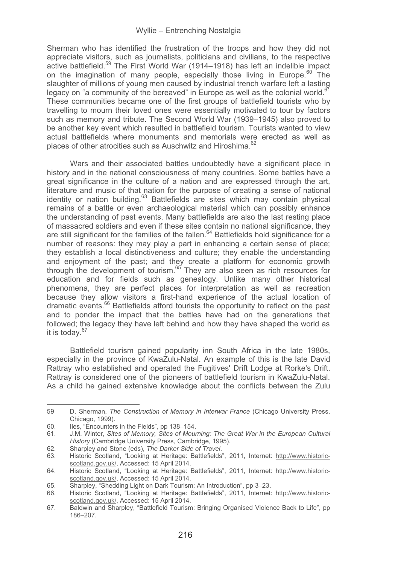Sherman who has identified the frustration of the troops and how they did not appreciate visitors, such as journalists, politicians and civilians, to the respective active battlefield.<sup>59</sup> The First World War (1914–1918) has left an indelible impact on the imagination of many people, especially those living in Europe.<sup>60</sup> The slaughter of millions of young men caused by industrial trench warfare left a lasting legacy on "a community of the bereaved" in Europe as well as the colonial world.<sup>61</sup> These communities became one of the first groups of battlefield tourists who by travelling to mourn their loved ones were essentially motivated to tour by factors such as memory and tribute. The Second World War (1939–1945) also proved to be another key event which resulted in battlefield tourism. Tourists wanted to view actual battlefields where monuments and memorials were erected as well as places of other atrocities such as Auschwitz and Hiroshima.<sup>62</sup>

Wars and their associated battles undoubtedly have a significant place in history and in the national consciousness of many countries. Some battles have a great significance in the culture of a nation and are expressed through the art, literature and music of that nation for the purpose of creating a sense of national identity or nation building.<sup>63</sup> Battlefields are sites which may contain physical remains of a battle or even archaeological material which can possibly enhance the understanding of past events. Many battlefields are also the last resting place of massacred soldiers and even if these sites contain no national significance, they are still significant for the families of the fallen.<sup>64</sup> Battlefields hold significance for a number of reasons: they may play a part in enhancing a certain sense of place; they establish a local distinctiveness and culture; they enable the understanding and enjoyment of the past; and they create a platform for economic growth through the development of tourism.65 They are also seen as rich resources for education and for fields such as genealogy. Unlike many other historical phenomena, they are perfect places for interpretation as well as recreation because they allow visitors a first-hand experience of the actual location of dramatic events.66 Battlefields afford tourists the opportunity to reflect on the past and to ponder the impact that the battles have had on the generations that followed; the legacy they have left behind and how they have shaped the world as it is today.67

Battlefield tourism gained popularity inn South Africa in the late 1980s, especially in the province of KwaZulu-Natal. An example of this is the late David Rattray who established and operated the Fugitives' Drift Lodge at Rorke's Drift. Rattray is considered one of the pioneers of battlefield tourism in KwaZulu-Natal. As a child he gained extensive knowledge about the conflicts between the Zulu

<sup>59</sup> D. Sherman, *The Construction of Memory in Interwar France* (Chicago University Press, Chicago, 1999).

<sup>60.</sup> Iles, "Encounters in the Fields", pp 138–154.

<sup>61.</sup> J.M. Winter, *Sites of Memory, Sites of Mourning: The Great War in the European Cultural History* (Cambridge University Press, Cambridge, 1995).

<sup>62.</sup> Sharpley and Stone (eds), *The Darker Side of Travel*.

<sup>63.</sup> Historic Scotland, "Looking at Heritage: Battlefields", 2011, Internet: http://www.historicscotland.gov.uk/, Accessed: 15 April 2014.

<sup>64.</sup> Historic Scotland, "Looking at Heritage: Battlefields", 2011, Internet: http://www.historicscotland.gov.uk/, Accessed: 15 April 2014.

<sup>65.</sup> Sharpley, "Shedding Light on Dark Tourism: An Introduction", pp 3–23.

<sup>66.</sup> Historic Scotland, "Looking at Heritage: Battlefields", 2011, Internet: http://www.historicscotland.gov.uk/, Accessed: 15 April 2014.

<sup>67.</sup> Baldwin and Sharpley, "Battlefield Tourism: Bringing Organised Violence Back to Life", pp 186–207.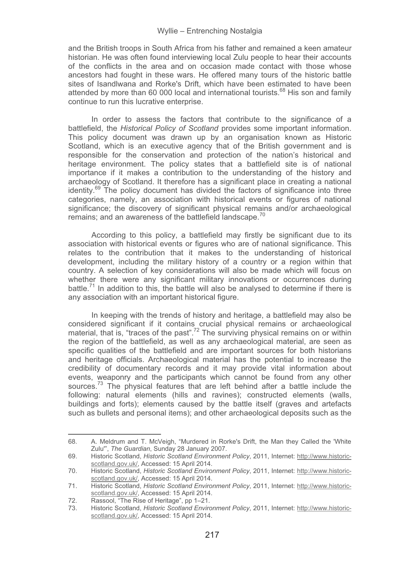and the British troops in South Africa from his father and remained a keen amateur historian. He was often found interviewing local Zulu people to hear their accounts of the conflicts in the area and on occasion made contact with those whose ancestors had fought in these wars. He offered many tours of the historic battle sites of Isandlwana and Rorke's Drift, which have been estimated to have been attended by more than 60,000 local and international tourists.<sup>68</sup> His son and family continue to run this lucrative enterprise.

In order to assess the factors that contribute to the significance of a battlefield, the *Historical Policy of Scotland* provides some important information. This policy document was drawn up by an organisation known as Historic Scotland, which is an executive agency that of the British government and is responsible for the conservation and protection of the nation's historical and heritage environment. The policy states that a battlefield site is of national importance if it makes a contribution to the understanding of the history and archaeology of Scotland. It therefore has a significant place in creating a national identity.69 The policy document has divided the factors of significance into three categories, namely, an association with historical events or figures of national significance; the discovery of significant physical remains and/or archaeological remains; and an awareness of the battlefield landscape.<sup>70</sup>

According to this policy, a battlefield may firstly be significant due to its association with historical events or figures who are of national significance. This relates to the contribution that it makes to the understanding of historical development, including the military history of a country or a region within that country. A selection of key considerations will also be made which will focus on whether there were any significant military innovations or occurrences during battle.<sup>71</sup> In addition to this, the battle will also be analysed to determine if there is any association with an important historical figure.

In keeping with the trends of history and heritage, a battlefield may also be considered significant if it contains crucial physical remains or archaeological material, that is, "traces of the past".<sup>72</sup> The surviving physical remains on or within the region of the battlefield, as well as any archaeological material, are seen as specific qualities of the battlefield and are important sources for both historians and heritage officials. Archaeological material has the potential to increase the credibility of documentary records and it may provide vital information about events, weaponry and the participants which cannot be found from any other sources.<sup>73</sup> The physical features that are left behind after a battle include the following: natural elements (hills and ravines); constructed elements (walls, buildings and forts); elements caused by the battle itself (graves and artefacts such as bullets and personal items); and other archaeological deposits such as the

<sup>68.</sup> A. Meldrum and T. McVeigh, "Murdered in Rorke's Drift, the Man they Called the 'White Zulu'", *The Guardian*, Sunday 28 January 2007.

<sup>69.</sup> Historic Scotland, *Historic Scotland Environment Policy*, 2011, Internet: http://www.historicscotland.gov.uk/, Accessed: 15 April 2014.

<sup>70.</sup> Historic Scotland, *Historic Scotland Environment Policy*, 2011, Internet: http://www.historicscotland.gov.uk/, Accessed: 15 April 2014.

<sup>71.</sup> Historic Scotland, *Historic Scotland Environment Policy*, 2011, Internet: http://www.historicscotland.gov.uk/, Accessed: 15 April 2014.

<sup>72.</sup> Rassool, "The Rise of Heritage", pp 1–21.<br>73 Historic Scotland Historic Scotland Enviro

<sup>73.</sup> Historic Scotland, *Historic Scotland Environment Policy*, 2011, Internet: http://www.historicscotland.gov.uk/, Accessed: 15 April 2014.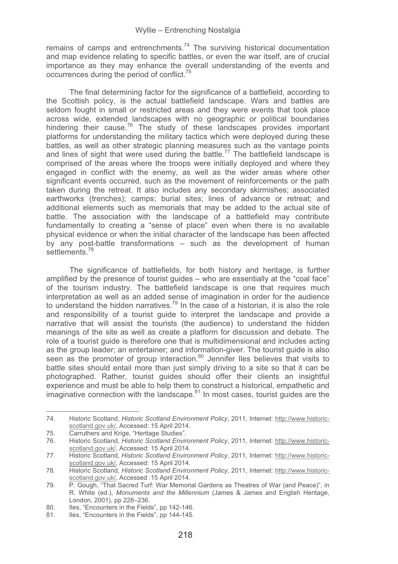remains of camps and entrenchments.<sup>74</sup> The surviving historical documentation and map evidence relating to specific battles, or even the war itself, are of crucial importance as they may enhance the overall understanding of the events and occurrences during the period of conflict.<sup>75</sup>

The final determining factor for the significance of a battlefield, according to the Scottish policy, is the actual battlefield landscape. Wars and battles are seldom fought in small or restricted areas and they were events that took place across wide, extended landscapes with no geographic or political boundaries hindering their cause.<sup>76</sup> The study of these landscapes provides important platforms for understanding the military tactics which were deployed during these battles, as well as other strategic planning measures such as the vantage points and lines of sight that were used during the battle.<sup>77</sup> The battlefield landscape is comprised of the areas where the troops were initially deployed and where they engaged in conflict with the enemy, as well as the wider areas where other significant events occurred, such as the movement of reinforcements or the path taken during the retreat. It also includes any secondary skirmishes; associated earthworks (trenches); camps; burial sites; lines of advance or retreat; and additional elements such as memorials that may be added to the actual site of battle. The association with the landscape of a battlefield may contribute fundamentally to creating a "sense of place" even when there is no available physical evidence or when the initial character of the landscape has been affected by any post-battle transformations – such as the development of human settlements<sup>78</sup>

The significance of battlefields, for both history and heritage, is further amplified by the presence of tourist guides – who are essentially at the "coal face" of the tourism industry. The battlefield landscape is one that requires much interpretation as well as an added sense of imagination in order for the audience to understand the hidden narratives.<sup>79</sup> In the case of a historian, it is also the role and responsibility of a tourist guide to interpret the landscape and provide a narrative that will assist the tourists (the audience) to understand the hidden meanings of the site as well as create a platform for discussion and debate. The role of a tourist guide is therefore one that is multidimensional and includes acting as the group leader; an entertainer; and information-giver. The tourist guide is also seen as the promoter of group interaction. $80$  Jennifer Iles believes that visits to battle sites should entail more than just simply driving to a site so that it can be photographed. Rather, tourist guides should offer their clients an insightful experience and must be able to help them to construct a historical, empathetic and imaginative connection with the landscape.<sup>81</sup> In most cases, tourist guides are the

<sup>74.</sup> Historic Scotland, *Historic Scotland Environment Policy*, 2011, Internet: http://www.historicscotland.gov.uk/, Accessed: 15 April 2014.

<sup>75.</sup> Carruthers and Krige, "Heritage Studies".<br>76. Historic Scotland. Historic Scotland Envir

Historic Scotland, *Historic Scotland Environment Policy*, 2011, Internet: http://www.historicscotland.gov.uk/, Accessed: 15 April 2014.

<sup>77.</sup> Historic Scotland, *Historic Scotland Environment Policy*, 2011, Internet: http://www.historicscotland.gov.uk/, Accessed: 15 April 2014.

<sup>78.</sup> Historic Scotland, *Historic Scotland Environment Policy*, 2011, Internet: http://www.historicscotland.gov.uk/, Accessed : 15 April 2014.

<sup>79.</sup> P. Gough, "That Sacred Turf: War Memorial Gardens as Theatres of War (and Peace)", in R. White (ed.), *Monuments and the Millennium* (James & James and English Heritage, London, 2001), pp 228–236.

<sup>80.</sup> Iles, "Encounters in the Fields", pp 142-146.

<sup>81.</sup> Iles, "Encounters in the Fields", pp 144-145.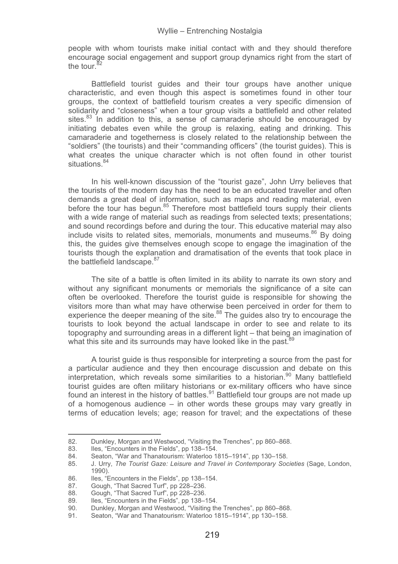people with whom tourists make initial contact with and they should therefore encourage social engagement and support group dynamics right from the start of the tour.<sup>82</sup>

Battlefield tourist guides and their tour groups have another unique characteristic, and even though this aspect is sometimes found in other tour groups, the context of battlefield tourism creates a very specific dimension of solidarity and "closeness" when a tour group visits a battlefield and other related sites. $83$  In addition to this, a sense of camaraderie should be encouraged by initiating debates even while the group is relaxing, eating and drinking. This camaraderie and togetherness is closely related to the relationship between the "soldiers" (the tourists) and their "commanding officers" (the tourist guides). This is what creates the unique character which is not often found in other tourist situations.<sup>84</sup>

In his well-known discussion of the "tourist gaze", John Urry believes that the tourists of the modern day has the need to be an educated traveller and often demands a great deal of information, such as maps and reading material, even before the tour has begun. $85$  Therefore most battlefield tours supply their clients with a wide range of material such as readings from selected texts; presentations; and sound recordings before and during the tour. This educative material may also include visits to related sites, memorials, monuments and museums. $86$  By doing this, the guides give themselves enough scope to engage the imagination of the tourists though the explanation and dramatisation of the events that took place in the battlefield landscape.<sup>87</sup>

The site of a battle is often limited in its ability to narrate its own story and without any significant monuments or memorials the significance of a site can often be overlooked. Therefore the tourist guide is responsible for showing the visitors more than what may have otherwise been perceived in order for them to experience the deeper meaning of the site. $88$  The guides also try to encourage the tourists to look beyond the actual landscape in order to see and relate to its topography and surrounding areas in a different light – that being an imagination of what this site and its surrounds may have looked like in the past.<sup>89</sup>

A tourist guide is thus responsible for interpreting a source from the past for a particular audience and they then encourage discussion and debate on this interpretation, which reveals some similarities to a historian.<sup>90</sup> Many battlefield tourist guides are often military historians or ex-military officers who have since found an interest in the history of battles.<sup>91</sup> Battlefield tour groups are not made up of a homogenous audience – in other words these groups may vary greatly in terms of education levels; age; reason for travel; and the expectations of these

---------

---------------------------------------------

<sup>82.</sup> Dunkley, Morgan and Westwood, "Visiting the Trenches", pp 860–868.<br>83. Iles. "Encounters in the Fields", pp 138–154.

<sup>-</sup>----Iles, "Encounters in the Fields", pp 138–154.

<sup>84.</sup> Seaton, "War and Thanatourism: Waterloo 1815–1914", pp 130–158.<br>85. J. Urry. The Tourist Gaze: Leisure and Travel in Contemporary Soc

<sup>85.</sup> J. Urry, *The Tourist Gaze: Leisure and Travel in Contemporary Societies* (Sage, London, 1990).

<sup>86.</sup> Iles, "Encounters in the Fields", pp 138–154.<br>87 Gough. "That Sacred Turf", pp 228–236.

<sup>87.</sup> Gough, "That Sacred Turf", pp 228-236.<br>88. Gough, "That Sacred Turf", pp 228-236.

<sup>88.</sup> Gough, "That Sacred Turf", pp 228-236.<br>89 Hes. "Encounters in the Fields", pp 138-1

<sup>89.</sup> Iles, "Encounters in the Fields", pp 138–154.<br>90. Dunkley, Morgan and Westwood, "Visiting the

<sup>90.</sup> Dunkley, Morgan and Westwood, "Visiting the Trenches", pp 860–868.<br>91. Seaton. "War and Thanatourism: Waterloo 1815–1914", pp 130–158.

Seaton, "War and Thanatourism: Waterloo 1815–1914", pp 130–158.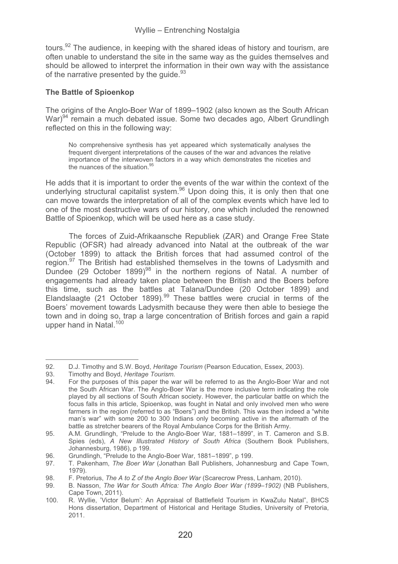tours. $92$  The audience, in keeping with the shared ideas of history and tourism, are often unable to understand the site in the same way as the guides themselves and should be allowed to interpret the information in their own way with the assistance of the narrative presented by the quide.<sup>93</sup>

## **The Battle of Spioenkop**

The origins of the Anglo-Boer War of 1899–1902 (also known as the South African War)<sup>94</sup> remain a much debated issue. Some two decades ago, Albert Grundlingh reflected on this in the following way:

No comprehensive synthesis has yet appeared which systematically analyses the frequent divergent interpretations of the causes of the war and advances the relative importance of the interwoven factors in a way which demonstrates the niceties and the nuances of the situation.<sup>9</sup>

He adds that it is important to order the events of the war within the context of the underlying structural capitalist system.<sup>96</sup> Upon doing this, it is only then that one can move towards the interpretation of all of the complex events which have led to one of the most destructive wars of our history, one which included the renowned Battle of Spioenkop, which will be used here as a case study.

The forces of Zuid-Afrikaansche Republiek (ZAR) and Orange Free State Republic (OFSR) had already advanced into Natal at the outbreak of the war (October 1899) to attack the British forces that had assumed control of the region.<sup>97</sup> The British had established themselves in the towns of Ladysmith and Dundee (29 October 1899)<sup>98</sup> in the northern regions of Natal. A number of engagements had already taken place between the British and the Boers before this time, such as the battles at Talana/Dundee (20 October 1899) and<br>Elandslaagte (21 October 1899).<sup>99</sup> These battles were crucial in terms of the Boers' movement towards Ladysmith because they were then able to besiege the town and in doing so, trap a large concentration of British forces and gain a rapid upper hand in Natal.<sup>100</sup>

---------------

--------------------------------------

<sup>92.</sup> D.J. Timothy and S.W. Boyd, *Heritage Tourism* (Pearson Education, Essex, 2003).

<sup>-</sup>-----93. Timothy and Boyd, *Heritage Tourism.*

For the purposes of this paper the war will be referred to as the Anglo-Boer War and not the South African War. The Anglo-Boer War is the more inclusive term indicating the role played by all sections of South African society. However, the particular battle on which the focus falls in this article, Spioenkop, was fought in Natal and only involved men who were farmers in the region (referred to as "Boers") and the British. This was then indeed a "white man's war" with some 200 to 300 Indians only becoming active in the aftermath of the battle as stretcher bearers of the Royal Ambulance Corps for the British Army.

<sup>95.</sup> A.M. Grundlingh, "Prelude to the Anglo-Boer War, 1881–1899", in T. Cameron and S.B. Spies (eds), *A New Illustrated History of South Africa* (Southern Book Publishers, Johannesburg, 1986), p 199.

<sup>96.</sup> Grundlingh, "Prelude to the Anglo-Boer War, 1881–1899", p 199.<br>97 T. Pakenham, *The Boer War (Jonathan Ball Publishers*, Johan

<sup>97.</sup> T. Pakenham, *The Boer War* (Jonathan Ball Publishers, Johannesburg and Cape Town, 1979).

<sup>98.</sup> F. Pretorius, *The A to Z of the Anglo Boer War* (Scarecrow Press, Lanham, 2010).

<sup>99.</sup> B. Nasson, *The War for South Africa: The Anglo Boer War (1899*–*1902)* (NB Publishers, Cape Town, 2011).

<sup>100.</sup> R. Wyllie, 'Victor Belum': An Appraisal of Battlefield Tourism in KwaZulu Natal", BHCS Hons dissertation, Department of Historical and Heritage Studies, University of Pretoria, 2011.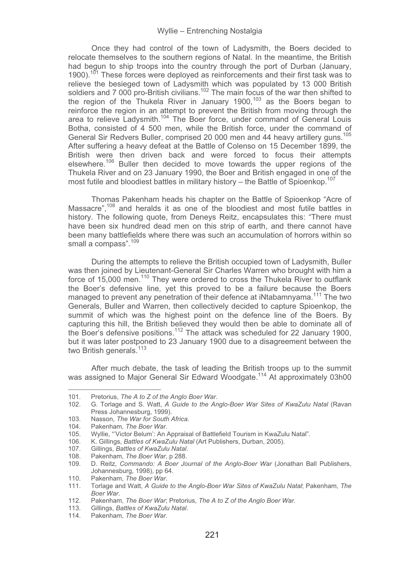Once they had control of the town of Ladysmith, the Boers decided to relocate themselves to the southern regions of Natal. In the meantime, the British had begun to ship troops into the country through the port of Durban (January, 1900)<sup>101</sup> These forces were deployed as reinforcements and their first task was to  $\frac{101}{100}$  These forces were deployed as reinforcements and their first task was to relieve the besieged town of Ladysmith which was populated by 13 000 British soldiers and 7 000 pro-British civilians.<sup>102</sup> The main focus of the war then shifted to the region of the Thukela River in January 1900,<sup>103</sup> as the Boers began to reinforce the region in an attempt to prevent the British from moving through the area to relieve Ladysmith.<sup>104</sup> The Boer force, under command of General Louis Botha, consisted of 4 500 men, while the British force, under the command of General Sir Redvers Buller, comprised 20 000 men and 44 heavy artillery guns.<sup>105</sup> After suffering a heavy defeat at the Battle of Colenso on 15 December 1899, the British were then driven back and were forced to focus their attempts elsewhere.<sup>106</sup> Buller then decided to move towards the upper regions of the Thukela River and on 23 January 1990, the Boer and British engaged in one of the most futile and bloodiest battles in military history – the Battle of Spioenkop.<sup>107</sup>

Thomas Pakenham heads his chapter on the Battle of Spioenkop "Acre of Massacre",<sup>108</sup> and heralds it as one of the bloodiest and most futile battles in history. The following quote, from Deneys Reitz, encapsulates this: "There must have been six hundred dead men on this strip of earth, and there cannot have been many battlefields where there was such an accumulation of horrors within so small a compass".<sup>109</sup>

During the attempts to relieve the British occupied town of Ladysmith, Buller was then joined by Lieutenant-General Sir Charles Warren who brought with him a force of 15,000 men.<sup>110</sup> They were ordered to cross the Thukela River to outflank the Boer's defensive line, yet this proved to be a failure because the Boers managed to prevent any penetration of their defence at iNtabamnyama.<sup>111</sup> The two Generals, Buller and Warren, then collectively decided to capture Spioenkop, the summit of which was the highest point on the defence line of the Boers. By capturing this hill, the British believed they would then be able to dominate all of the Boer's defensive positions.112 The attack was scheduled for 22 January 1900, but it was later postponed to 23 January 1900 due to a disagreement between the two British generals.<sup>113</sup>

After much debate, the task of leading the British troops up to the summit was assigned to Major General Sir Edward Woodgate.<sup>114</sup> At approximately 03h00

-------

-------------------------------------------

<sup>-</sup>--------101. Pretorius, *The A to Z of the Anglo Boer War*.

<sup>102.</sup> G. Torlage and S. Watt, *A Guide to the Anglo-Boer War Sites of KwaZulu Natal* (Ravan Press Johannesburg, 1999).

<sup>103.</sup> Nasson, *The War for South Africa*.

<sup>104.</sup> Pakenham, *The Boer War*.

<sup>105.</sup> Wyllie, "'Victor Belum': An Appraisal of Battlefield Tourism in KwaZulu Natal".<br>106. K. Gillings, Battles of KwaZulu Natal (Art Publishers, Durban, 2005).

<sup>106.</sup> K. Gillings, *Battles of KwaZulu Natal* (Art Publishers, Durban, 2005).

<sup>107.</sup> Gillings, *Battles of KwaZulu Natal*.

<sup>108.</sup> Pakenham, *The Boer War*, p 288.

<sup>109.</sup> D. Reitz, *Commando: A Boer Journal of the Anglo-Boer War* (Jonathan Ball Publishers, Johannesburg, 1998), pp 64.

<sup>110.</sup> Pakenham, *The Boer War*.

<sup>111.</sup> Torlage and Watt, *A Guide to the Anglo-Boer War Sites of KwaZulu Natal*; Pakenham, *The Boer War*.

<sup>112.</sup> Pakenham, *The Boer War*; Pretorius, *The A to Z of the Anglo Boer War*.

<sup>113.</sup> Gillings, *Battles of KwaZulu Natal*.

<sup>114.</sup> Pakenham, *The Boer War*.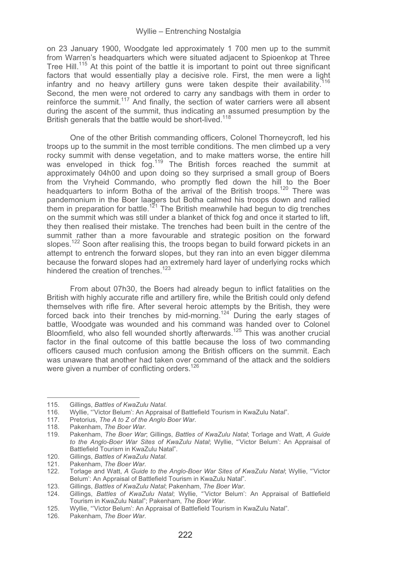on 23 January 1900, Woodgate led approximately 1 700 men up to the summit from Warren's headquarters which were situated adjacent to Spioenkop at Three Tree Hill.<sup>115</sup> At this point of the battle it is important to point out three significant factors that would essentially play a decisive role. First, the men were a light infantry and no heavy artillery guns were taken despite their availability.<sup>11</sup> Second, the men were not ordered to carry any sandbags with them in order to reinforce the summit.<sup>117</sup> And finally, the section of water carriers were all absent during the ascent of the summit, thus indicating an assumed presumption by the British generals that the battle would be short-lived.<sup>118</sup>

One of the other British commanding officers, Colonel Thorneycroft, led his troops up to the summit in the most terrible conditions. The men climbed up a very rocky summit with dense vegetation, and to make matters worse, the entire hill was enveloped in thick fog.<sup>119</sup> The British forces reached the summit at approximately 04h00 and upon doing so they surprised a small group of Boers from the Vryheid Commando, who promptly fled down the hill to the Boer headquarters to inform Botha of the arrival of the British troops.<sup>120</sup> There was pandemonium in the Boer laagers but Botha calmed his troops down and rallied them in preparation for battle.<sup>121</sup> The British meanwhile had begun to dig trenches on the summit which was still under a blanket of thick fog and once it started to lift, they then realised their mistake. The trenches had been built in the centre of the summit rather than a more favourable and strategic position on the forward slopes.<sup>122</sup> Soon after realising this, the troops began to build forward pickets in an attempt to entrench the forward slopes, but they ran into an even bigger dilemma because the forward slopes had an extremely hard layer of underlying rocks which hindered the creation of trenches<sup>123</sup>

From about 07h30, the Boers had already begun to inflict fatalities on the British with highly accurate rifle and artillery fire, while the British could only defend themselves with rifle fire. After several heroic attempts by the British, they were forced back into their trenches by mid-morning.<sup>124</sup> During the early stages of battle, Woodgate was wounded and his command was handed over to Colonel Bloomfield, who also fell wounded shortly afterwards.125 This was another crucial factor in the final outcome of this battle because the loss of two commanding officers caused much confusion among the British officers on the summit. Each was unaware that another had taken over command of the attack and the soldiers were given a number of conflicting orders.<sup>126</sup>

----------------

---------------------------------

<sup>-</sup>---------115. Gillings, *Battles of KwaZulu Natal*.

<sup>116.</sup> Wyllie, "'Victor Belum': An Appraisal of Battlefield Tourism in KwaZulu Natal".

<sup>117.</sup> Pretorius, *The A to Z of the Anglo Boer War*.

<sup>118.</sup> Pakenham, *The Boer War*.

<sup>119.</sup> Pakenham, *The Boer War*; Gillings, *Battles of KwaZulu Natal*; Torlage and Watt, *A Guide to the Anglo-Boer War Sites of KwaZulu Natal*; Wyllie, "'Victor Belum': An Appraisal of Battlefield Tourism in KwaZulu Natal".

<sup>120.</sup> Gillings, *Battles of KwaZulu Natal*.

Pakenham, *The Boer War.* 

<sup>122.</sup> Torlage and Watt, *A Guide to the Anglo-Boer War Sites of KwaZulu Natal*; Wyllie, "'Victor Belum': An Appraisal of Battlefield Tourism in KwaZulu Natal".

<sup>123.</sup> Gillings, *Battles of KwaZulu Natal*; Pakenham, *The Boer War*.

<sup>124.</sup> Gillings, *Battles of KwaZulu Natal*; Wyllie, "'Victor Belum': An Appraisal of Battlefield Tourism in KwaZulu Natal"; Pakenham, *The Boer War*.

<sup>125.</sup> Wyllie, "'Victor Belum': An Appraisal of Battlefield Tourism in KwaZulu Natal".<br>126. Pakenham, The Boer War.

Pakenham, The Boer War.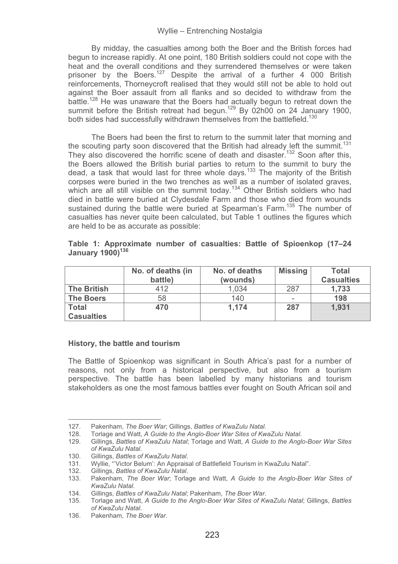By midday, the casualties among both the Boer and the British forces had begun to increase rapidly. At one point, 180 British soldiers could not cope with the heat and the overall conditions and they surrendered themselves or were taken prisoner by the Boers.<sup>127</sup> Despite the arrival of a further 4 000 British reinforcements, Thorneycroft realised that they would still not be able to hold out against the Boer assault from all flanks and so decided to withdraw from the battle.<sup>128</sup> He was unaware that the Boers had actually begun to retreat down the summit before the British retreat had begun.<sup>129</sup> By 02h00 on 24 January 1900, both sides had successfully withdrawn themselves from the battlefield.<sup>130</sup>

The Boers had been the first to return to the summit later that morning and the scouting party soon discovered that the British had already left the summit.<sup>131</sup> They also discovered the horrific scene of death and disaster.<sup>132</sup> Soon after this, the Boers allowed the British burial parties to return to the summit to bury the dead, a task that would last for three whole days.<sup>133</sup> The majority of the British corpses were buried in the two trenches as well as a number of isolated graves, which are all still visible on the summit today.<sup>134</sup> Other British soldiers who had died in battle were buried at Clydesdale Farm and those who died from wounds sustained during the battle were buried at Spearman's Farm.<sup>135</sup> The number of casualties has never quite been calculated, but Table 1 outlines the figures which are held to be as accurate as possible:

|                    | No. of deaths (in<br>battle) | No. of deaths<br>(wounds) | <b>Missing</b> | Total<br><b>Casualties</b> |
|--------------------|------------------------------|---------------------------|----------------|----------------------------|
| <b>The British</b> | 412                          | 1.034                     | 287            | 1.733                      |
| <b>The Boers</b>   | 58                           | 140                       | -              | 198                        |
| Total              | 470                          | 1.174                     | 287            | 1.931                      |
| <b>Casualties</b>  |                              |                           |                |                            |

**Table 1: Approximate number of casualties: Battle of Spioenkop (17–24**  January 1900)<sup>136</sup>

### **History, the battle and tourism**

The Battle of Spioenkop was significant in South Africa's past for a number of reasons, not only from a historical perspective, but also from a tourism perspective. The battle has been labelled by many historians and tourism stakeholders as one the most famous battles ever fought on South African soil and

<sup>127.</sup> Pakenham, *The Boer War*; Gillings, *Battles of KwaZulu Natal*.

<sup>128.</sup> Torlage and Watt, *A Guide to the Anglo-Boer War Sites of KwaZulu Natal*.

<sup>129.</sup> Gillings, *Battles of KwaZulu Natal*; Torlage and Watt, *A Guide to the Anglo-Boer War Sites of KwaZulu Natal*.

<sup>130.</sup> Gillings, *Battles of KwaZulu Natal*.

<sup>131.</sup> Wyllie, "'Victor Belum': An Appraisal of Battlefield Tourism in KwaZulu Natal".<br>132. Gillings. Battles of KwaZulu Natal.

<sup>132.</sup> Gillings, *Battles of KwaZulu Natal*.

<sup>133.</sup> Pakenham, *The Boer War*; Torlage and Watt, *A Guide to the Anglo-Boer War Sites of KwaZulu Natal*.

<sup>134.</sup> Gillings, *Battles of KwaZulu Natal*; Pakenham, *The Boer War*.

<sup>135.</sup> Torlage and Watt, *A Guide to the Anglo-Boer War Sites of KwaZulu Natal*; Gillings, *Battles of KwaZulu Natal*.

<sup>136.</sup> Pakenham, *The Boer War*.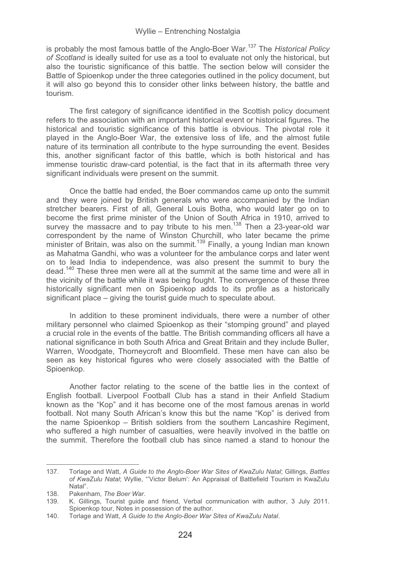is probably the most famous battle of the Anglo-Boer War.137 The *Historical Policy of Scotland* is ideally suited for use as a tool to evaluate not only the historical, but also the touristic significance of this battle. The section below will consider the Battle of Spioenkop under the three categories outlined in the policy document, but it will also go beyond this to consider other links between history, the battle and tourism.

The first category of significance identified in the Scottish policy document refers to the association with an important historical event or historical figures. The historical and touristic significance of this battle is obvious. The pivotal role it played in the Anglo-Boer War, the extensive loss of life, and the almost futile nature of its termination all contribute to the hype surrounding the event. Besides this, another significant factor of this battle, which is both historical and has immense touristic draw-card potential, is the fact that in its aftermath three very significant individuals were present on the summit.

Once the battle had ended, the Boer commandos came up onto the summit and they were joined by British generals who were accompanied by the Indian stretcher bearers. First of all, General Louis Botha, who would later go on to become the first prime minister of the Union of South Africa in 1910, arrived to survey the massacre and to pay tribute to his men.<sup>138</sup> Then a 23-year-old war correspondent by the name of Winston Churchill, who later became the prime minister of Britain, was also on the summit.<sup>139</sup> Finally, a young Indian man known as Mahatma Gandhi, who was a volunteer for the ambulance corps and later went on to lead India to independence, was also present the summit to bury the dead.140 These three men were all at the summit at the same time and were all in the vicinity of the battle while it was being fought. The convergence of these three historically significant men on Spioenkop adds to its profile as a historically significant place – giving the tourist guide much to speculate about.

In addition to these prominent individuals, there were a number of other military personnel who claimed Spioenkop as their "stomping ground" and played a crucial role in the events of the battle. The British commanding officers all have a national significance in both South Africa and Great Britain and they include Buller, Warren, Woodgate, Thorneycroft and Bloomfield. These men have can also be seen as key historical figures who were closely associated with the Battle of Spioenkop.

Another factor relating to the scene of the battle lies in the context of English football. Liverpool Football Club has a stand in their Anfield Stadium known as the "Kop" and it has become one of the most famous arenas in world football. Not many South African's know this but the name "Kop" is derived from the name Spioenkop – British soldiers from the southern Lancashire Regiment, who suffered a high number of casualties, were heavily involved in the battle on the summit. Therefore the football club has since named a stand to honour the

<sup>137.</sup> Torlage and Watt, *A Guide to the Anglo-Boer War Sites of KwaZulu Natal*; Gillings, *Battles of KwaZulu Natal*; Wyllie, "'Victor Belum': An Appraisal of Battlefield Tourism in KwaZulu Natal".

<sup>138.</sup> Pakenham, *The Boer War*.

<sup>139.</sup> K. Gillings, Tourist guide and friend, Verbal communication with author, 3 July 2011. Spioenkop tour, Notes in possession of the author.

<sup>140.</sup> Torlage and Watt, *A Guide to the Anglo-Boer War Sites of KwaZulu Natal*.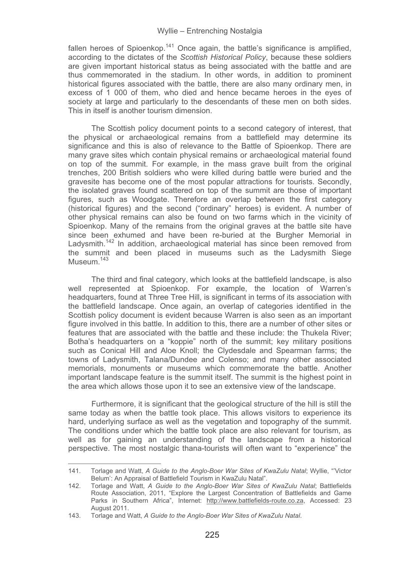fallen heroes of Spioenkop.<sup>141</sup> Once again, the battle's significance is amplified. according to the dictates of the *Scottish Historical Policy*, because these soldiers are given important historical status as being associated with the battle and are thus commemorated in the stadium. In other words, in addition to prominent historical figures associated with the battle, there are also many ordinary men, in excess of 1 000 of them, who died and hence became heroes in the eyes of society at large and particularly to the descendants of these men on both sides. This in itself is another tourism dimension.

The Scottish policy document points to a second category of interest, that the physical or archaeological remains from a battlefield may determine its significance and this is also of relevance to the Battle of Spioenkop. There are many grave sites which contain physical remains or archaeological material found on top of the summit. For example, in the mass grave built from the original trenches, 200 British soldiers who were killed during battle were buried and the gravesite has become one of the most popular attractions for tourists. Secondly, the isolated graves found scattered on top of the summit are those of important figures, such as Woodgate. Therefore an overlap between the first category (historical figures) and the second ("ordinary" heroes) is evident. A number of other physical remains can also be found on two farms which in the vicinity of Spioenkop. Many of the remains from the original graves at the battle site have since been exhumed and have been re-buried at the Burgher Memorial in Ladysmith.<sup>142</sup> In addition, archaeological material has since been removed from the summit and been placed in museums such as the Ladysmith Siege Museum.<sup>143</sup>

The third and final category, which looks at the battlefield landscape, is also well represented at Spioenkop. For example, the location of Warren's headquarters, found at Three Tree Hill, is significant in terms of its association with the battlefield landscape. Once again, an overlap of categories identified in the Scottish policy document is evident because Warren is also seen as an important figure involved in this battle. In addition to this, there are a number of other sites or features that are associated with the battle and these include: the Thukela River; Botha's headquarters on a "koppie" north of the summit; key military positions such as Conical Hill and Aloe Knoll; the Clydesdale and Spearman farms; the towns of Ladysmith, Talana/Dundee and Colenso; and many other associated memorials, monuments or museums which commemorate the battle. Another important landscape feature is the summit itself. The summit is the highest point in the area which allows those upon it to see an extensive view of the landscape.

Furthermore, it is significant that the geological structure of the hill is still the same today as when the battle took place. This allows visitors to experience its hard, underlying surface as well as the vegetation and topography of the summit. The conditions under which the battle took place are also relevant for tourism, as well as for gaining an understanding of the landscape from a historical perspective. The most nostalgic thana-tourists will often want to "experience" the

<sup>141.</sup> Torlage and Watt, *A Guide to the Anglo-Boer War Sites of KwaZulu Natal*; Wyllie, "'Victor Belum': An Appraisal of Battlefield Tourism in KwaZulu Natal".

<sup>142.</sup> Torlage and Watt, *A Guide to the Anglo-Boer War Sites of KwaZulu Natal*; Battlefields Route Association, 2011, "Explore the Largest Concentration of Battlefields and Game Parks in Southern Africa", Internet: http://www.battlefields-route.co.za, Accessed: 23 August 2011.

<sup>143.</sup> Torlage and Watt, *A Guide to the Anglo-Boer War Sites of KwaZulu Natal*.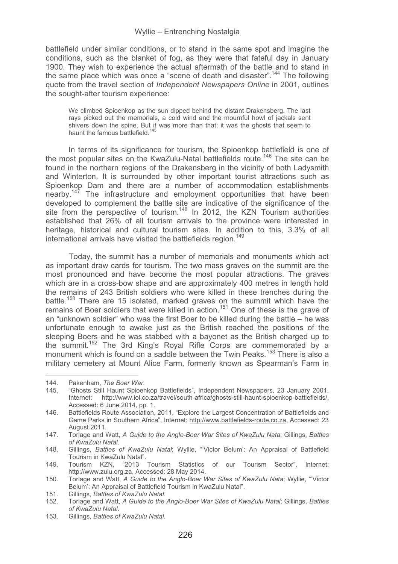battlefield under similar conditions, or to stand in the same spot and imagine the conditions, such as the blanket of fog, as they were that fateful day in January 1900. They wish to experience the actual aftermath of the battle and to stand in the same place which was once a "scene of death and disaster".144 The following quote from the travel section of *Independent Newspapers Online* in 2001, outlines the sought-after tourism experience:

We climbed Spioenkop as the sun dipped behind the distant Drakensberg. The last rays picked out the memorials, a cold wind and the mournful howl of jackals sent shivers down the spine. But it was more than that; it was the ghosts that seem to haunt the famous battlefield.<sup>145</sup>

In terms of its significance for tourism, the Spioenkop battlefield is one of the most popular sites on the KwaZulu-Natal battlefields route.146 The site can be found in the northern regions of the Drakensberg in the vicinity of both Ladysmith and Winterton. It is surrounded by other important tourist attractions such as Spioenkop Dam and there are a number of accommodation establishments nearby.<sup>147</sup> The infrastructure and employment opportunities that have been developed to complement the battle site are indicative of the significance of the site from the perspective of tourism.<sup>148</sup> In 2012, the KZN Tourism authorities established that 26% of all tourism arrivals to the province were interested in heritage, historical and cultural tourism sites. In addition to this, 3.3% of all international arrivals have visited the battlefields region.<sup>149</sup>

Today, the summit has a number of memorials and monuments which act as important draw cards for tourism. The two mass graves on the summit are the most pronounced and have become the most popular attractions. The graves which are in a cross-bow shape and are approximately 400 metres in length hold the remains of 243 British soldiers who were killed in these trenches during the battle.<sup>150</sup> There are 15 isolated, marked graves on the summit which have the remains of Boer soldiers that were killed in action.<sup>151</sup> One of these is the grave of an "unknown soldier" who was the first Boer to be killed during the battle – he was unfortunate enough to awake just as the British reached the positions of the sleeping Boers and he was stabbed with a bayonet as the British charged up to the summit.152 The 3rd King's Royal Rifle Corps are commemorated by a monument which is found on a saddle between the Twin Peaks.<sup>153</sup> There is also a military cemetery at Mount Alice Farm, formerly known as Spearman's Farm in

-----------------------

--------------------------

153. Gillings, *Battles of KwaZulu Natal*.

<sup>-</sup>---------144. Pakenham, *The Boer War.*

<sup>145. &</sup>quot;Ghosts Still Haunt Spioenkop Battlefields", Independent Newspapers, 23 January 2001, Internet: http://www.iol.co.za/travel/south-africa/ghosts-still-haunt-spioenkop-battlefields/, Accessed: 6 June 2014, pp. 1.

<sup>146.</sup> Battlefields Route Association, 2011, "Explore the Largest Concentration of Battlefields and Game Parks in Southern Africa", Internet: http://www.battlefields-route.co.za, Accessed: 23 August 2011.

<sup>147.</sup> Torlage and Watt, *A Guide to the Anglo-Boer War Sites of KwaZulu Nata*; Gillings, *Battles of KwaZulu Natal*.

<sup>148.</sup> Gillings, *Battles of KwaZulu Natal*; Wyllie, "'Victor Belum': An Appraisal of Battlefield Tourism in KwaZulu Natal".

<sup>149.</sup> Tourism KZN, "2013 Tourism Statistics of our Tourism Sector", Internet: http://www.zulu.org.za, Accessed: 28 May 2014.

<sup>150.</sup> Torlage and Watt, *A Guide to the Anglo-Boer War Sites of KwaZulu Nata*; Wyllie, "'Victor Belum': An Appraisal of Battlefield Tourism in KwaZulu Natal".

<sup>151.</sup> Gillings, *Battles of KwaZulu Natal*.

<sup>152.</sup> Torlage and Watt, *A Guide to the Anglo-Boer War Sites of KwaZulu Natal*; Gillings, *Battles of KwaZulu Natal*.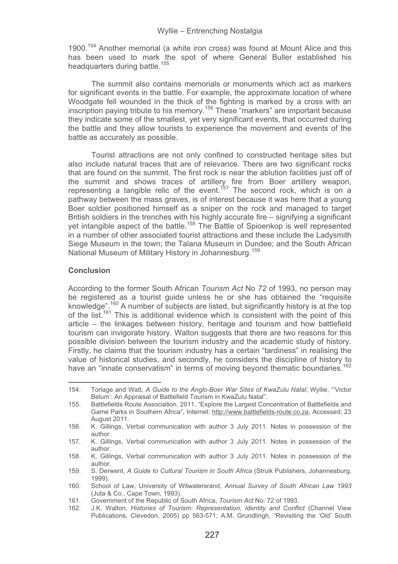1900.<sup>154</sup> Another memorial (a white iron cross) was found at Mount Alice and this has been used to mark the spot of where General Buller established his headquarters during battle.<sup>155</sup>

The summit also contains memorials or monuments which act as markers for significant events in the battle. For example, the approximate location of where Woodgate fell wounded in the thick of the fighting is marked by a cross with an inscription paying tribute to his memory.156 These "markers" are important because they indicate some of the smallest, yet very significant events, that occurred during the battle and they allow tourists to experience the movement and events of the battle as accurately as possible.

Tourist attractions are not only confined to constructed heritage sites but also include natural traces that are of relevance. There are two significant rocks that are found on the summit. The first rock is near the ablution facilities just off of the summit and shows traces of artillery fire from Boer artillery weapon, representing a tangible relic of the event.<sup>157</sup> The second rock, which is on a pathway between the mass graves, is of interest because it was here that a young Boer soldier positioned himself as a sniper on the rock and managed to target British soldiers in the trenches with his highly accurate fire – signifying a significant yet intangible aspect of the battle.158 The Battle of Spioenkop is well represented in a number of other associated tourist attractions and these include the Ladysmith Siege Museum in the town; the Talana Museum in Dundee; and the South African National Museum of Military History in Johannesburg.<sup>159</sup>

### **Conclusion**

-----------------------------------------------------------

According to the former South African *Tourism Act* No *72* of 1993, no person may be registered as a tourist guide unless he or she has obtained the "requisite knowledge".<sup>160</sup> A number of subjects are listed, but significantly history is at the top of the list.161 This is additional evidence which is consistent with the point of this article – the linkages between history, heritage and tourism and how battlefield tourism can invigorate history. Walton suggests that there are two reasons for this possible division between the tourism industry and the academic study of history. Firstly, he claims that the tourism industry has a certain "tardiness" in realising the value of historical studies, and secondly, he considers the discipline of history to have an "innate conservatism" in terms of moving beyond thematic boundaries.<sup>162</sup>

154. Torlage and Watt, *A Guide to the Anglo-Boer War Sites of KwaZulu Natal*; Wyllie, "'Victor Belum': An Appraisal of Battlefield Tourism in KwaZulu Natal".

<sup>155.</sup> Battlefields Route Association, 2011, "Explore the Largest Concentration of Battlefields and Game Parks in Southern Africa", Internet: http://www.battlefields-route.co.za, Accessed: 23 August 2011.

<sup>156.</sup> K. Gillings, Verbal communication with author 3 July 2011. Notes in possession of the author.

<sup>157.</sup> K. Gillings, Verbal communication with author 3 July 2011. Notes in possession of the author.

<sup>158.</sup> K. Gillings, Verbal communication with author 3 July 2011. Notes in possession of the author.

<sup>159.</sup> S. Derwent, *A Guide to Cultural Tourism in South Africa* (Struik Publishers, Johannesburg, 1999).

<sup>160.</sup> School of Law, University of Witwatersrand, *Annual Survey of South African Law 1993* (Juta & Co., Cape Town, 1993).

<sup>161.</sup> Government of the Republic of South Africa, *Tourism Act* No. 72 of 1993.

<sup>162.</sup> J.K. Walton, *Histories of Tourism: Representation, Identity and Conflict* (Channel View Publications, Clevedon, 2005) pp 563-571; A.M. Grundlingh, "Revisiting the 'Old' South